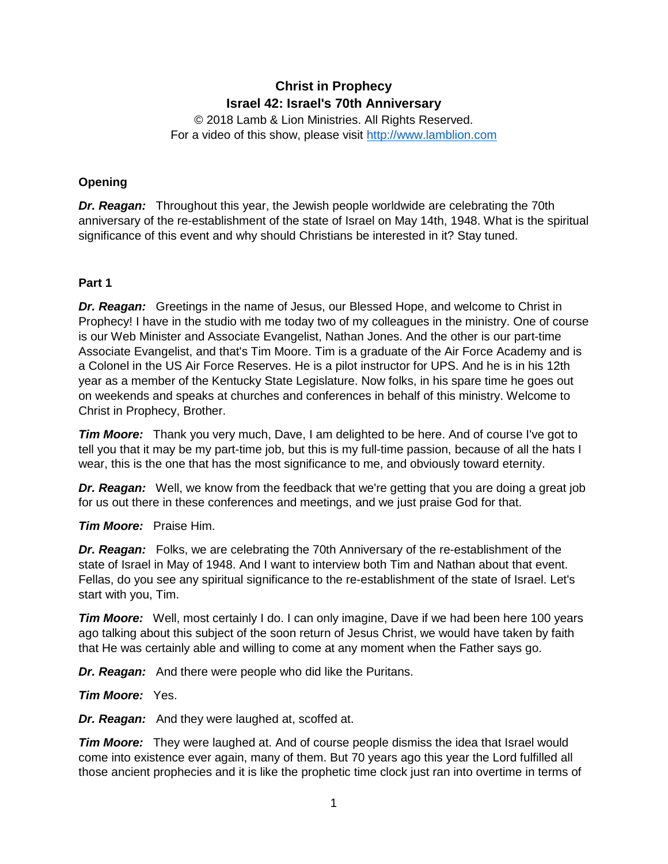# **Christ in Prophecy Israel 42: Israel's 70th Anniversary**

© 2018 Lamb & Lion Ministries. All Rights Reserved. For a video of this show, please visit [http://www.lamblion.com](http://www.lamblion.com/)

# **Opening**

*Dr. Reagan:* Throughout this year, the Jewish people worldwide are celebrating the 70th anniversary of the re-establishment of the state of Israel on May 14th, 1948. What is the spiritual significance of this event and why should Christians be interested in it? Stay tuned.

## **Part 1**

*Dr. Reagan:* Greetings in the name of Jesus, our Blessed Hope, and welcome to Christ in Prophecy! I have in the studio with me today two of my colleagues in the ministry. One of course is our Web Minister and Associate Evangelist, Nathan Jones. And the other is our part-time Associate Evangelist, and that's Tim Moore. Tim is a graduate of the Air Force Academy and is a Colonel in the US Air Force Reserves. He is a pilot instructor for UPS. And he is in his 12th year as a member of the Kentucky State Legislature. Now folks, in his spare time he goes out on weekends and speaks at churches and conferences in behalf of this ministry. Welcome to Christ in Prophecy, Brother.

*Tim Moore:* Thank you very much, Dave, I am delighted to be here. And of course I've got to tell you that it may be my part-time job, but this is my full-time passion, because of all the hats I wear, this is the one that has the most significance to me, and obviously toward eternity.

*Dr. Reagan:* Well, we know from the feedback that we're getting that you are doing a great job for us out there in these conferences and meetings, and we just praise God for that.

*Tim Moore:* Praise Him.

*Dr. Reagan:* Folks, we are celebrating the 70th Anniversary of the re-establishment of the state of Israel in May of 1948. And I want to interview both Tim and Nathan about that event. Fellas, do you see any spiritual significance to the re-establishment of the state of Israel. Let's start with you, Tim.

**Tim Moore:** Well, most certainly I do. I can only imagine, Dave if we had been here 100 years ago talking about this subject of the soon return of Jesus Christ, we would have taken by faith that He was certainly able and willing to come at any moment when the Father says go.

*Dr. Reagan:* And there were people who did like the Puritans.

*Tim Moore:* Yes.

*Dr. Reagan:* And they were laughed at, scoffed at.

*Tim Moore:* They were laughed at. And of course people dismiss the idea that Israel would come into existence ever again, many of them. But 70 years ago this year the Lord fulfilled all those ancient prophecies and it is like the prophetic time clock just ran into overtime in terms of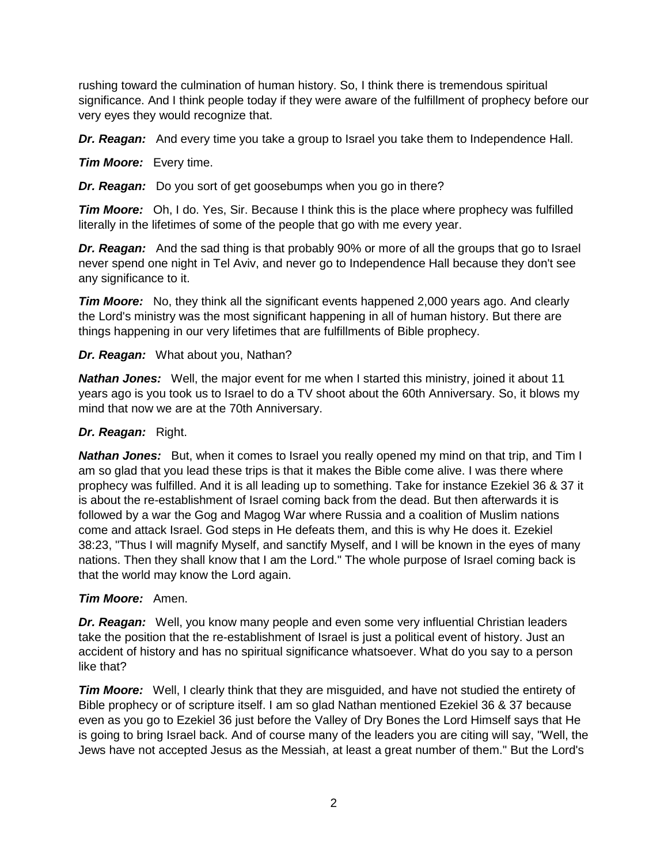rushing toward the culmination of human history. So, I think there is tremendous spiritual significance. And I think people today if they were aware of the fulfillment of prophecy before our very eyes they would recognize that.

*Dr. Reagan:* And every time you take a group to Israel you take them to Independence Hall.

*Tim Moore:* Every time.

*Dr. Reagan:* Do you sort of get goosebumps when you go in there?

*Tim Moore:* Oh, I do. Yes, Sir. Because I think this is the place where prophecy was fulfilled literally in the lifetimes of some of the people that go with me every year.

*Dr. Reagan:* And the sad thing is that probably 90% or more of all the groups that go to Israel never spend one night in Tel Aviv, and never go to Independence Hall because they don't see any significance to it.

*Tim Moore:* No, they think all the significant events happened 2,000 years ago. And clearly the Lord's ministry was the most significant happening in all of human history. But there are things happening in our very lifetimes that are fulfillments of Bible prophecy.

# *Dr. Reagan:* What about you, Nathan?

**Nathan Jones:** Well, the major event for me when I started this ministry, joined it about 11 years ago is you took us to Israel to do a TV shoot about the 60th Anniversary. So, it blows my mind that now we are at the 70th Anniversary.

# *Dr. Reagan:* Right.

*Nathan Jones:* But, when it comes to Israel you really opened my mind on that trip, and Tim I am so glad that you lead these trips is that it makes the Bible come alive. I was there where prophecy was fulfilled. And it is all leading up to something. Take for instance Ezekiel 36 & 37 it is about the re-establishment of Israel coming back from the dead. But then afterwards it is followed by a war the Gog and Magog War where Russia and a coalition of Muslim nations come and attack Israel. God steps in He defeats them, and this is why He does it. Ezekiel 38:23, "Thus I will magnify Myself, and sanctify Myself, and I will be known in the eyes of many nations. Then they shall know that I am the Lord." The whole purpose of Israel coming back is that the world may know the Lord again.

# *Tim Moore:* Amen.

*Dr. Reagan:* Well, you know many people and even some very influential Christian leaders take the position that the re-establishment of Israel is just a political event of history. Just an accident of history and has no spiritual significance whatsoever. What do you say to a person like that?

*Tim Moore:* Well, I clearly think that they are misguided, and have not studied the entirety of Bible prophecy or of scripture itself. I am so glad Nathan mentioned Ezekiel 36 & 37 because even as you go to Ezekiel 36 just before the Valley of Dry Bones the Lord Himself says that He is going to bring Israel back. And of course many of the leaders you are citing will say, "Well, the Jews have not accepted Jesus as the Messiah, at least a great number of them." But the Lord's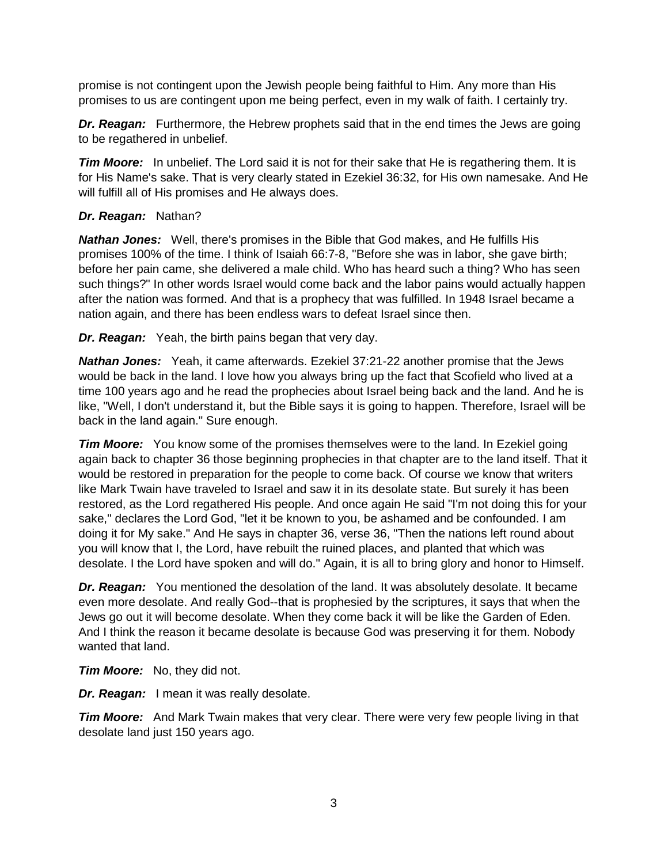promise is not contingent upon the Jewish people being faithful to Him. Any more than His promises to us are contingent upon me being perfect, even in my walk of faith. I certainly try.

*Dr. Reagan:* Furthermore, the Hebrew prophets said that in the end times the Jews are going to be regathered in unbelief.

*Tim Moore:* In unbelief. The Lord said it is not for their sake that He is regathering them. It is for His Name's sake. That is very clearly stated in Ezekiel 36:32, for His own namesake. And He will fulfill all of His promises and He always does.

## *Dr. Reagan:* Nathan?

*Nathan Jones:* Well, there's promises in the Bible that God makes, and He fulfills His promises 100% of the time. I think of Isaiah 66:7-8, "Before she was in labor, she gave birth; before her pain came, she delivered a male child. Who has heard such a thing? Who has seen such things?" In other words Israel would come back and the labor pains would actually happen after the nation was formed. And that is a prophecy that was fulfilled. In 1948 Israel became a nation again, and there has been endless wars to defeat Israel since then.

*Dr. Reagan:* Yeah, the birth pains began that very day.

*Nathan Jones:* Yeah, it came afterwards. Ezekiel 37:21-22 another promise that the Jews would be back in the land. I love how you always bring up the fact that Scofield who lived at a time 100 years ago and he read the prophecies about Israel being back and the land. And he is like, "Well, I don't understand it, but the Bible says it is going to happen. Therefore, Israel will be back in the land again." Sure enough.

*Tim Moore:* You know some of the promises themselves were to the land. In Ezekiel going again back to chapter 36 those beginning prophecies in that chapter are to the land itself. That it would be restored in preparation for the people to come back. Of course we know that writers like Mark Twain have traveled to Israel and saw it in its desolate state. But surely it has been restored, as the Lord regathered His people. And once again He said "I'm not doing this for your sake," declares the Lord God, "let it be known to you, be ashamed and be confounded. I am doing it for My sake." And He says in chapter 36, verse 36, "Then the nations left round about you will know that I, the Lord, have rebuilt the ruined places, and planted that which was desolate. I the Lord have spoken and will do." Again, it is all to bring glory and honor to Himself.

*Dr. Reagan:* You mentioned the desolation of the land. It was absolutely desolate. It became even more desolate. And really God--that is prophesied by the scriptures, it says that when the Jews go out it will become desolate. When they come back it will be like the Garden of Eden. And I think the reason it became desolate is because God was preserving it for them. Nobody wanted that land.

*Tim Moore:* No, they did not.

*Dr. Reagan:* I mean it was really desolate.

*Tim Moore:* And Mark Twain makes that very clear. There were very few people living in that desolate land just 150 years ago.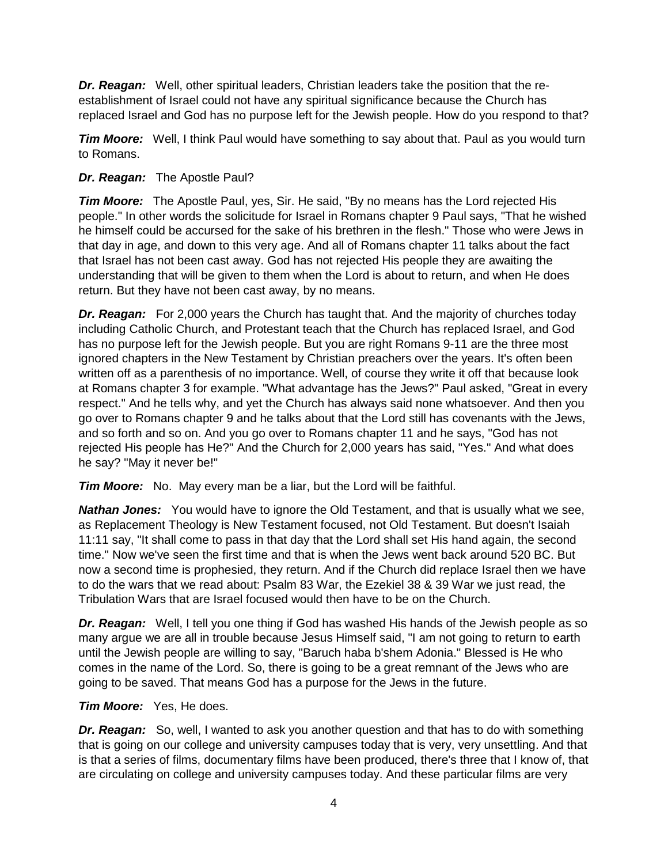*Dr. Reagan:* Well, other spiritual leaders, Christian leaders take the position that the reestablishment of Israel could not have any spiritual significance because the Church has replaced Israel and God has no purpose left for the Jewish people. How do you respond to that?

*Tim Moore:* Well, I think Paul would have something to say about that. Paul as you would turn to Romans.

# *Dr. Reagan:* The Apostle Paul?

*Tim Moore:* The Apostle Paul, yes, Sir. He said, "By no means has the Lord rejected His people." In other words the solicitude for Israel in Romans chapter 9 Paul says, "That he wished he himself could be accursed for the sake of his brethren in the flesh." Those who were Jews in that day in age, and down to this very age. And all of Romans chapter 11 talks about the fact that Israel has not been cast away. God has not rejected His people they are awaiting the understanding that will be given to them when the Lord is about to return, and when He does return. But they have not been cast away, by no means.

*Dr. Reagan:* For 2,000 years the Church has taught that. And the majority of churches today including Catholic Church, and Protestant teach that the Church has replaced Israel, and God has no purpose left for the Jewish people. But you are right Romans 9-11 are the three most ignored chapters in the New Testament by Christian preachers over the years. It's often been written off as a parenthesis of no importance. Well, of course they write it off that because look at Romans chapter 3 for example. "What advantage has the Jews?" Paul asked, "Great in every respect." And he tells why, and yet the Church has always said none whatsoever. And then you go over to Romans chapter 9 and he talks about that the Lord still has covenants with the Jews, and so forth and so on. And you go over to Romans chapter 11 and he says, "God has not rejected His people has He?" And the Church for 2,000 years has said, "Yes." And what does he say? "May it never be!"

*Tim Moore:* No. May every man be a liar, but the Lord will be faithful.

*Nathan Jones:* You would have to ignore the Old Testament, and that is usually what we see, as Replacement Theology is New Testament focused, not Old Testament. But doesn't Isaiah 11:11 say, "It shall come to pass in that day that the Lord shall set His hand again, the second time." Now we've seen the first time and that is when the Jews went back around 520 BC. But now a second time is prophesied, they return. And if the Church did replace Israel then we have to do the wars that we read about: Psalm 83 War, the Ezekiel 38 & 39 War we just read, the Tribulation Wars that are Israel focused would then have to be on the Church.

**Dr. Reagan:** Well, I tell you one thing if God has washed His hands of the Jewish people as so many argue we are all in trouble because Jesus Himself said, "I am not going to return to earth until the Jewish people are willing to say, "Baruch haba b'shem Adonia." Blessed is He who comes in the name of the Lord. So, there is going to be a great remnant of the Jews who are going to be saved. That means God has a purpose for the Jews in the future.

# *Tim Moore:* Yes, He does.

*Dr. Reagan:* So, well, I wanted to ask you another question and that has to do with something that is going on our college and university campuses today that is very, very unsettling. And that is that a series of films, documentary films have been produced, there's three that I know of, that are circulating on college and university campuses today. And these particular films are very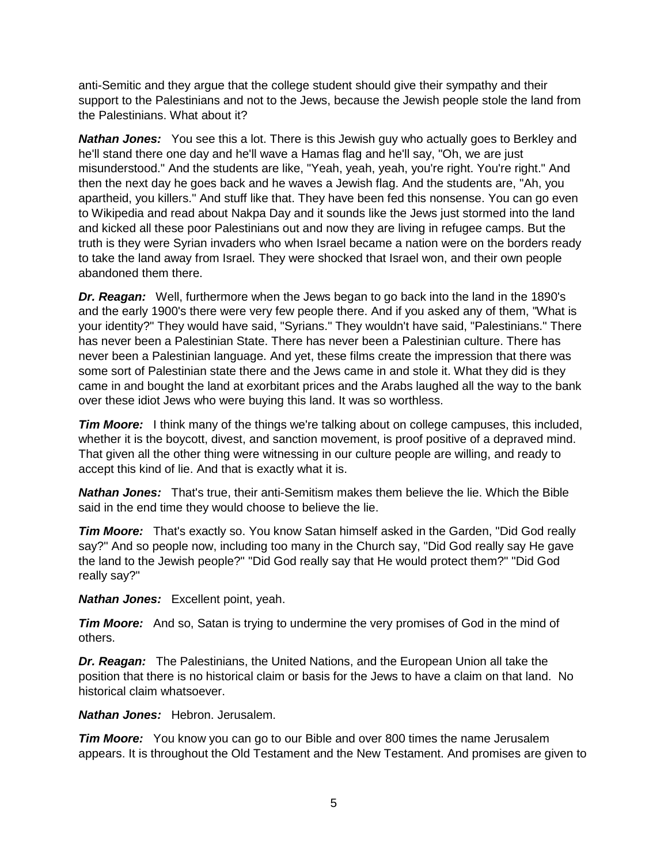anti-Semitic and they argue that the college student should give their sympathy and their support to the Palestinians and not to the Jews, because the Jewish people stole the land from the Palestinians. What about it?

*Nathan Jones:* You see this a lot. There is this Jewish guy who actually goes to Berkley and he'll stand there one day and he'll wave a Hamas flag and he'll say, "Oh, we are just misunderstood." And the students are like, "Yeah, yeah, yeah, you're right. You're right." And then the next day he goes back and he waves a Jewish flag. And the students are, "Ah, you apartheid, you killers." And stuff like that. They have been fed this nonsense. You can go even to Wikipedia and read about Nakpa Day and it sounds like the Jews just stormed into the land and kicked all these poor Palestinians out and now they are living in refugee camps. But the truth is they were Syrian invaders who when Israel became a nation were on the borders ready to take the land away from Israel. They were shocked that Israel won, and their own people abandoned them there.

*Dr. Reagan:* Well, furthermore when the Jews began to go back into the land in the 1890's and the early 1900's there were very few people there. And if you asked any of them, "What is your identity?" They would have said, "Syrians." They wouldn't have said, "Palestinians." There has never been a Palestinian State. There has never been a Palestinian culture. There has never been a Palestinian language. And yet, these films create the impression that there was some sort of Palestinian state there and the Jews came in and stole it. What they did is they came in and bought the land at exorbitant prices and the Arabs laughed all the way to the bank over these idiot Jews who were buying this land. It was so worthless.

**Tim Moore:** I think many of the things we're talking about on college campuses, this included, whether it is the boycott, divest, and sanction movement, is proof positive of a depraved mind. That given all the other thing were witnessing in our culture people are willing, and ready to accept this kind of lie. And that is exactly what it is.

*Nathan Jones:* That's true, their anti-Semitism makes them believe the lie. Which the Bible said in the end time they would choose to believe the lie.

*Tim Moore:* That's exactly so. You know Satan himself asked in the Garden, "Did God really say?" And so people now, including too many in the Church say, "Did God really say He gave the land to the Jewish people?" "Did God really say that He would protect them?" "Did God really say?"

*Nathan Jones:* Excellent point, yeah.

**Tim Moore:** And so, Satan is trying to undermine the very promises of God in the mind of others.

*Dr. Reagan:* The Palestinians, the United Nations, and the European Union all take the position that there is no historical claim or basis for the Jews to have a claim on that land. No historical claim whatsoever.

*Nathan Jones:* Hebron. Jerusalem.

*Tim Moore:* You know you can go to our Bible and over 800 times the name Jerusalem appears. It is throughout the Old Testament and the New Testament. And promises are given to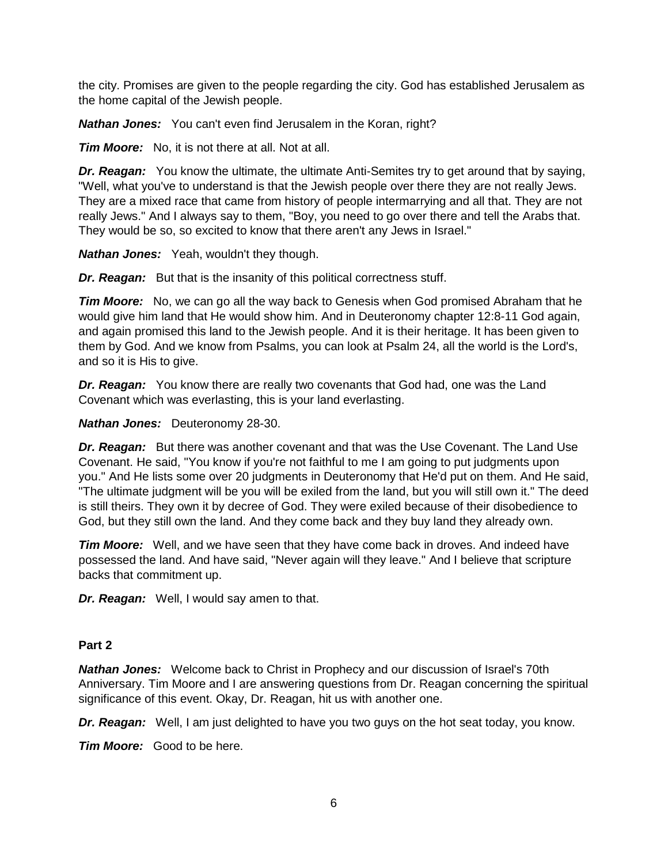the city. Promises are given to the people regarding the city. God has established Jerusalem as the home capital of the Jewish people.

*Nathan Jones:* You can't even find Jerusalem in the Koran, right?

*Tim Moore:* No, it is not there at all. Not at all.

*Dr. Reagan:* You know the ultimate, the ultimate Anti-Semites try to get around that by saying, "Well, what you've to understand is that the Jewish people over there they are not really Jews. They are a mixed race that came from history of people intermarrying and all that. They are not really Jews." And I always say to them, "Boy, you need to go over there and tell the Arabs that. They would be so, so excited to know that there aren't any Jews in Israel."

*Nathan Jones:* Yeah, wouldn't they though.

**Dr. Reagan:** But that is the insanity of this political correctness stuff.

*Tim Moore:* No, we can go all the way back to Genesis when God promised Abraham that he would give him land that He would show him. And in Deuteronomy chapter 12:8-11 God again, and again promised this land to the Jewish people. And it is their heritage. It has been given to them by God. And we know from Psalms, you can look at Psalm 24, all the world is the Lord's, and so it is His to give.

*Dr. Reagan:* You know there are really two covenants that God had, one was the Land Covenant which was everlasting, this is your land everlasting.

*Nathan Jones:* Deuteronomy 28-30.

*Dr. Reagan:* But there was another covenant and that was the Use Covenant. The Land Use Covenant. He said, "You know if you're not faithful to me I am going to put judgments upon you." And He lists some over 20 judgments in Deuteronomy that He'd put on them. And He said, "The ultimate judgment will be you will be exiled from the land, but you will still own it." The deed is still theirs. They own it by decree of God. They were exiled because of their disobedience to God, but they still own the land. And they come back and they buy land they already own.

*Tim Moore:* Well, and we have seen that they have come back in droves. And indeed have possessed the land. And have said, "Never again will they leave." And I believe that scripture backs that commitment up.

*Dr. Reagan:* Well, I would say amen to that.

#### **Part 2**

*Nathan Jones:* Welcome back to Christ in Prophecy and our discussion of Israel's 70th Anniversary. Tim Moore and I are answering questions from Dr. Reagan concerning the spiritual significance of this event. Okay, Dr. Reagan, hit us with another one.

*Dr. Reagan:* Well, I am just delighted to have you two guys on the hot seat today, you know.

*Tim Moore:* Good to be here.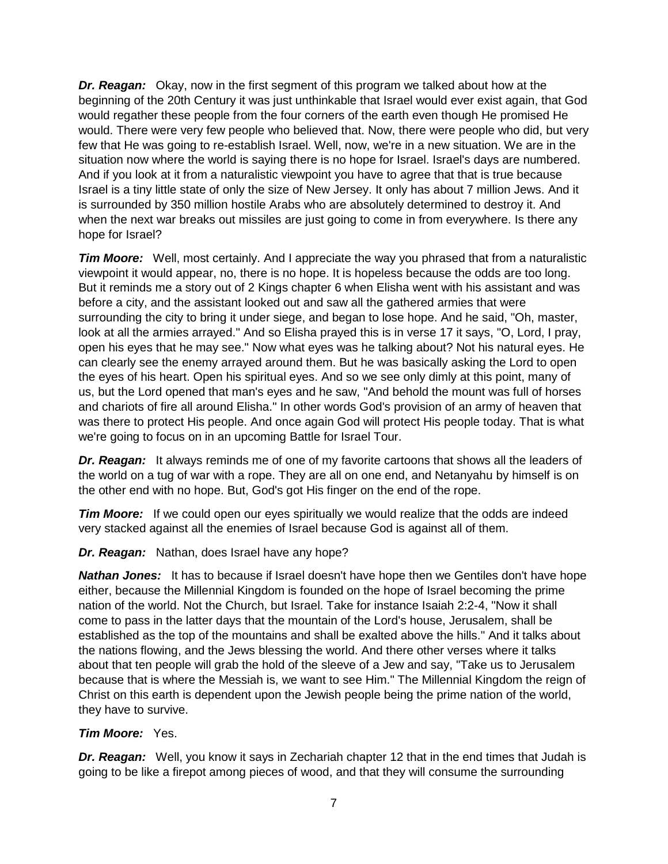*Dr. Reagan:* Okay, now in the first segment of this program we talked about how at the beginning of the 20th Century it was just unthinkable that Israel would ever exist again, that God would regather these people from the four corners of the earth even though He promised He would. There were very few people who believed that. Now, there were people who did, but very few that He was going to re-establish Israel. Well, now, we're in a new situation. We are in the situation now where the world is saying there is no hope for Israel. Israel's days are numbered. And if you look at it from a naturalistic viewpoint you have to agree that that is true because Israel is a tiny little state of only the size of New Jersey. It only has about 7 million Jews. And it is surrounded by 350 million hostile Arabs who are absolutely determined to destroy it. And when the next war breaks out missiles are just going to come in from everywhere. Is there any hope for Israel?

*Tim Moore:* Well, most certainly. And I appreciate the way you phrased that from a naturalistic viewpoint it would appear, no, there is no hope. It is hopeless because the odds are too long. But it reminds me a story out of 2 Kings chapter 6 when Elisha went with his assistant and was before a city, and the assistant looked out and saw all the gathered armies that were surrounding the city to bring it under siege, and began to lose hope. And he said, "Oh, master, look at all the armies arrayed." And so Elisha prayed this is in verse 17 it says, "O, Lord, I pray, open his eyes that he may see." Now what eyes was he talking about? Not his natural eyes. He can clearly see the enemy arrayed around them. But he was basically asking the Lord to open the eyes of his heart. Open his spiritual eyes. And so we see only dimly at this point, many of us, but the Lord opened that man's eyes and he saw, "And behold the mount was full of horses and chariots of fire all around Elisha." In other words God's provision of an army of heaven that was there to protect His people. And once again God will protect His people today. That is what we're going to focus on in an upcoming Battle for Israel Tour.

*Dr. Reagan:* It always reminds me of one of my favorite cartoons that shows all the leaders of the world on a tug of war with a rope. They are all on one end, and Netanyahu by himself is on the other end with no hope. But, God's got His finger on the end of the rope.

*Tim Moore:* If we could open our eyes spiritually we would realize that the odds are indeed very stacked against all the enemies of Israel because God is against all of them.

## *Dr. Reagan:* Nathan, does Israel have any hope?

*Nathan Jones:* It has to because if Israel doesn't have hope then we Gentiles don't have hope either, because the Millennial Kingdom is founded on the hope of Israel becoming the prime nation of the world. Not the Church, but Israel. Take for instance Isaiah 2:2-4, "Now it shall come to pass in the latter days that the mountain of the Lord's house, Jerusalem, shall be established as the top of the mountains and shall be exalted above the hills." And it talks about the nations flowing, and the Jews blessing the world. And there other verses where it talks about that ten people will grab the hold of the sleeve of a Jew and say, "Take us to Jerusalem because that is where the Messiah is, we want to see Him." The Millennial Kingdom the reign of Christ on this earth is dependent upon the Jewish people being the prime nation of the world, they have to survive.

#### *Tim Moore:* Yes.

*Dr. Reagan:* Well, you know it says in Zechariah chapter 12 that in the end times that Judah is going to be like a firepot among pieces of wood, and that they will consume the surrounding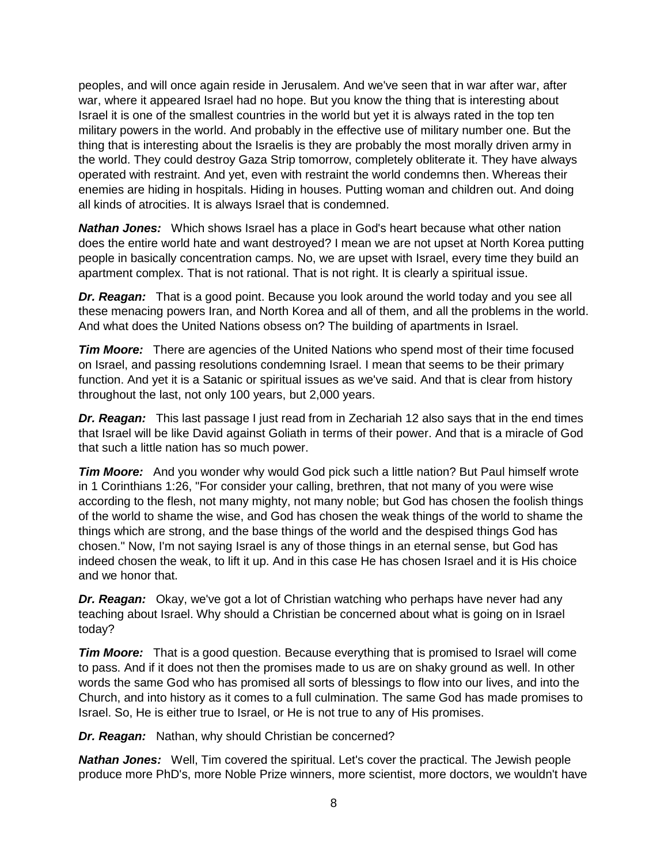peoples, and will once again reside in Jerusalem. And we've seen that in war after war, after war, where it appeared Israel had no hope. But you know the thing that is interesting about Israel it is one of the smallest countries in the world but yet it is always rated in the top ten military powers in the world. And probably in the effective use of military number one. But the thing that is interesting about the Israelis is they are probably the most morally driven army in the world. They could destroy Gaza Strip tomorrow, completely obliterate it. They have always operated with restraint. And yet, even with restraint the world condemns then. Whereas their enemies are hiding in hospitals. Hiding in houses. Putting woman and children out. And doing all kinds of atrocities. It is always Israel that is condemned.

*Nathan Jones:* Which shows Israel has a place in God's heart because what other nation does the entire world hate and want destroyed? I mean we are not upset at North Korea putting people in basically concentration camps. No, we are upset with Israel, every time they build an apartment complex. That is not rational. That is not right. It is clearly a spiritual issue.

*Dr. Reagan:* That is a good point. Because you look around the world today and you see all these menacing powers Iran, and North Korea and all of them, and all the problems in the world. And what does the United Nations obsess on? The building of apartments in Israel.

*Tim Moore:* There are agencies of the United Nations who spend most of their time focused on Israel, and passing resolutions condemning Israel. I mean that seems to be their primary function. And yet it is a Satanic or spiritual issues as we've said. And that is clear from history throughout the last, not only 100 years, but 2,000 years.

*Dr. Reagan:* This last passage I just read from in Zechariah 12 also says that in the end times that Israel will be like David against Goliath in terms of their power. And that is a miracle of God that such a little nation has so much power.

*Tim Moore:* And you wonder why would God pick such a little nation? But Paul himself wrote in 1 Corinthians 1:26, "For consider your calling, brethren, that not many of you were wise according to the flesh, not many mighty, not many noble; but God has chosen the foolish things of the world to shame the wise, and God has chosen the weak things of the world to shame the things which are strong, and the base things of the world and the despised things God has chosen." Now, I'm not saying Israel is any of those things in an eternal sense, but God has indeed chosen the weak, to lift it up. And in this case He has chosen Israel and it is His choice and we honor that.

**Dr. Reagan:** Okay, we've got a lot of Christian watching who perhaps have never had any teaching about Israel. Why should a Christian be concerned about what is going on in Israel today?

*Tim Moore:* That is a good question. Because everything that is promised to Israel will come to pass. And if it does not then the promises made to us are on shaky ground as well. In other words the same God who has promised all sorts of blessings to flow into our lives, and into the Church, and into history as it comes to a full culmination. The same God has made promises to Israel. So, He is either true to Israel, or He is not true to any of His promises.

*Dr. Reagan:* Nathan, why should Christian be concerned?

*Nathan Jones:* Well, Tim covered the spiritual. Let's cover the practical. The Jewish people produce more PhD's, more Noble Prize winners, more scientist, more doctors, we wouldn't have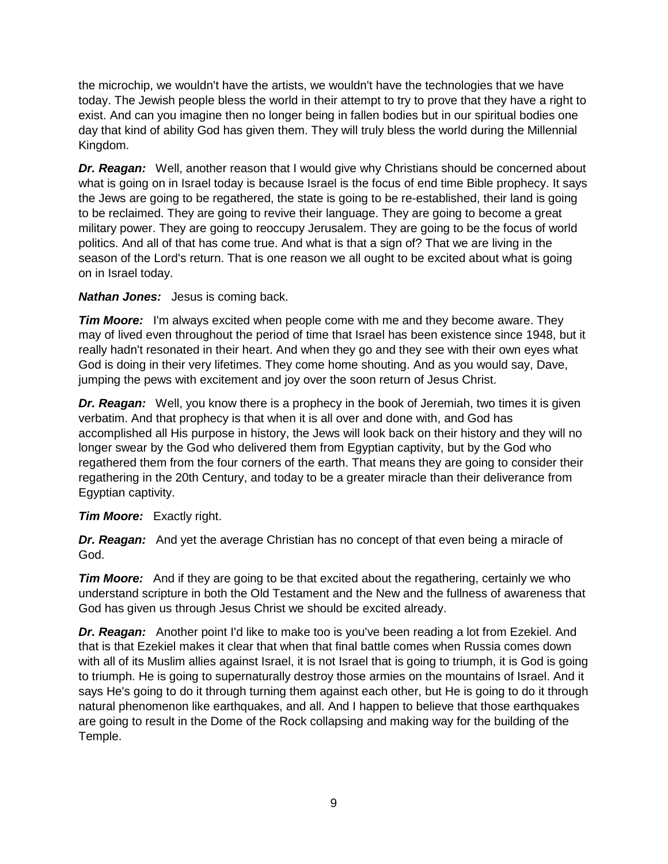the microchip, we wouldn't have the artists, we wouldn't have the technologies that we have today. The Jewish people bless the world in their attempt to try to prove that they have a right to exist. And can you imagine then no longer being in fallen bodies but in our spiritual bodies one day that kind of ability God has given them. They will truly bless the world during the Millennial Kingdom.

*Dr. Reagan:* Well, another reason that I would give why Christians should be concerned about what is going on in Israel today is because Israel is the focus of end time Bible prophecy. It says the Jews are going to be regathered, the state is going to be re-established, their land is going to be reclaimed. They are going to revive their language. They are going to become a great military power. They are going to reoccupy Jerusalem. They are going to be the focus of world politics. And all of that has come true. And what is that a sign of? That we are living in the season of the Lord's return. That is one reason we all ought to be excited about what is going on in Israel today.

# *Nathan Jones:* Jesus is coming back.

*Tim Moore:* I'm always excited when people come with me and they become aware. They may of lived even throughout the period of time that Israel has been existence since 1948, but it really hadn't resonated in their heart. And when they go and they see with their own eyes what God is doing in their very lifetimes. They come home shouting. And as you would say, Dave, jumping the pews with excitement and joy over the soon return of Jesus Christ.

*Dr. Reagan:* Well, you know there is a prophecy in the book of Jeremiah, two times it is given verbatim. And that prophecy is that when it is all over and done with, and God has accomplished all His purpose in history, the Jews will look back on their history and they will no longer swear by the God who delivered them from Egyptian captivity, but by the God who regathered them from the four corners of the earth. That means they are going to consider their regathering in the 20th Century, and today to be a greater miracle than their deliverance from Egyptian captivity.

# *Tim Moore:* Exactly right.

**Dr. Reagan:** And yet the average Christian has no concept of that even being a miracle of God.

*Tim Moore:* And if they are going to be that excited about the regathering, certainly we who understand scripture in both the Old Testament and the New and the fullness of awareness that God has given us through Jesus Christ we should be excited already.

*Dr. Reagan:* Another point I'd like to make too is you've been reading a lot from Ezekiel. And that is that Ezekiel makes it clear that when that final battle comes when Russia comes down with all of its Muslim allies against Israel, it is not Israel that is going to triumph, it is God is going to triumph. He is going to supernaturally destroy those armies on the mountains of Israel. And it says He's going to do it through turning them against each other, but He is going to do it through natural phenomenon like earthquakes, and all. And I happen to believe that those earthquakes are going to result in the Dome of the Rock collapsing and making way for the building of the Temple.